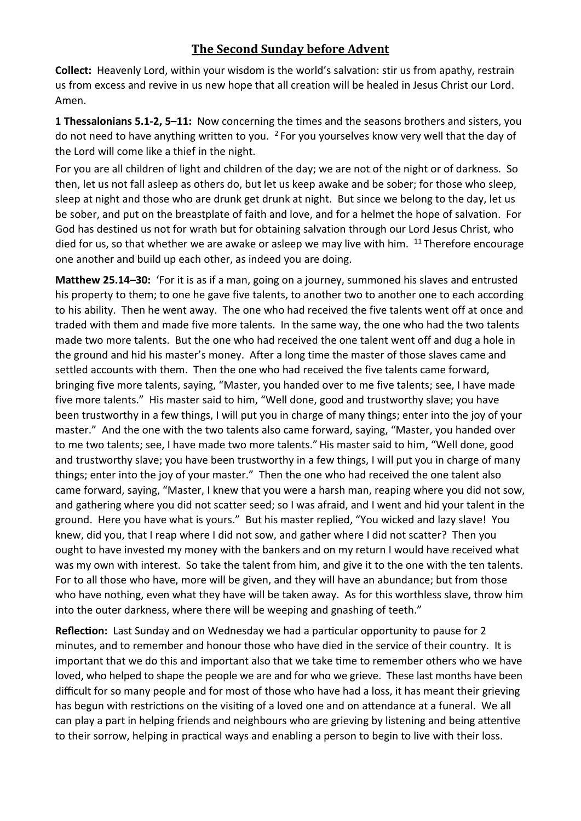## **The Second Sunday before Advent**

**Collect:** Heavenly Lord, within your wisdom is the world's salvation: stir us from apathy, restrain us from excess and revive in us new hope that all creation will be healed in Jesus Christ our Lord. Amen.

**1 Thessalonians 5.1-2, 5–11:** Now concerning the times and the seasons brothers and sisters, you do not need to have anything written to you.  $2$  For you yourselves know very well that the day of the Lord will come like a thief in the night.

For you are all children of light and children of the day; we are not of the night or of darkness. So then, let us not fall asleep as others do, but let us keep awake and be sober; for those who sleep, sleep at night and those who are drunk get drunk at night. But since we belong to the day, let us be sober, and put on the breastplate of faith and love, and for a helmet the hope of salvation. For God has destined us not for wrath but for obtaining salvation through our Lord Jesus Christ, who died for us, so that whether we are awake or asleep we may live with him. <sup>11</sup> Therefore encourage one another and build up each other, as indeed you are doing.

**Matthew 25.14–30:** 'For it is as if a man, going on a journey, summoned his slaves and entrusted his property to them; to one he gave five talents, to another two to another one to each according to his ability. Then he went away. The one who had received the five talents went off at once and traded with them and made five more talents. In the same way, the one who had the two talents made two more talents. But the one who had received the one talent went off and dug a hole in the ground and hid his master's money. After a long time the master of those slaves came and settled accounts with them. Then the one who had received the five talents came forward, bringing five more talents, saying, "Master, you handed over to me five talents; see, I have made five more talents." His master said to him, "Well done, good and trustworthy slave; you have been trustworthy in a few things, I will put you in charge of many things; enter into the joy of your master." And the one with the two talents also came forward, saying, "Master, you handed over to me two talents; see, I have made two more talents."His master said to him, "Well done, good and trustworthy slave; you have been trustworthy in a few things, I will put you in charge of many things; enter into the joy of your master." Then the one who had received the one talent also came forward, saying, "Master, I knew that you were a harsh man, reaping where you did not sow, and gathering where you did not scatter seed; so I was afraid, and I went and hid your talent in the ground. Here you have what is yours." But his master replied, "You wicked and lazy slave! You knew, did you, that I reap where I did not sow, and gather where I did not scatter? Then you ought to have invested my money with the bankers and on my return I would have received what was my own with interest. So take the talent from him, and give it to the one with the ten talents. For to all those who have, more will be given, and they will have an abundance; but from those who have nothing, even what they have will be taken away. As for this worthless slave, throw him into the outer darkness, where there will be weeping and gnashing of teeth."

**Reflection:** Last Sunday and on Wednesday we had a particular opportunity to pause for 2 minutes, and to remember and honour those who have died in the service of their country. It is important that we do this and important also that we take time to remember others who we have loved, who helped to shape the people we are and for who we grieve. These last months have been difficult for so many people and for most of those who have had a loss, it has meant their grieving has begun with restrictions on the visiting of a loved one and on attendance at a funeral. We all can play a part in helping friends and neighbours who are grieving by listening and being attentive to their sorrow, helping in practical ways and enabling a person to begin to live with their loss.